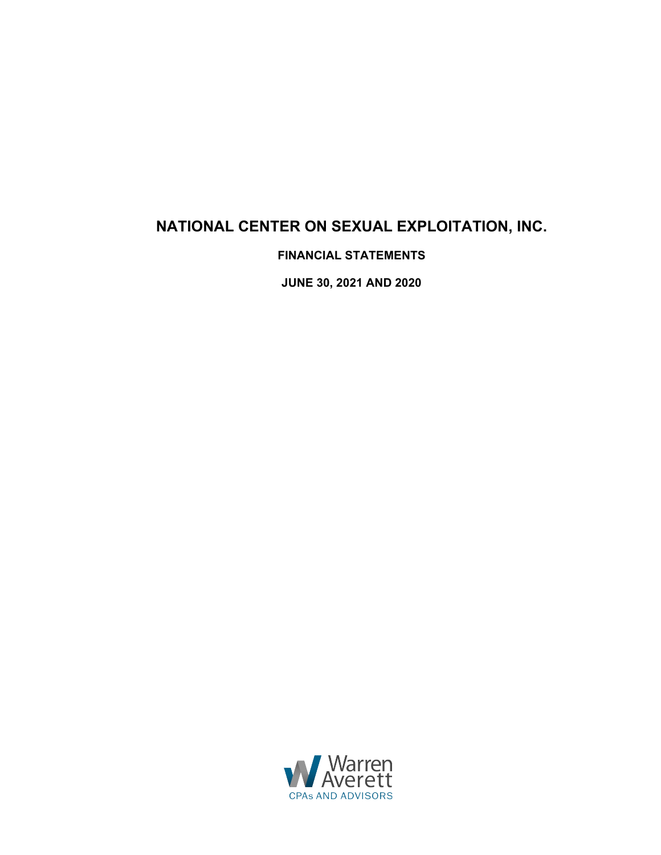# **NATIONAL CENTER ON SEXUAL EXPLOITATION, INC.**

**FINANCIAL STATEMENTS** 

**JUNE 30, 2021 AND 2020** 

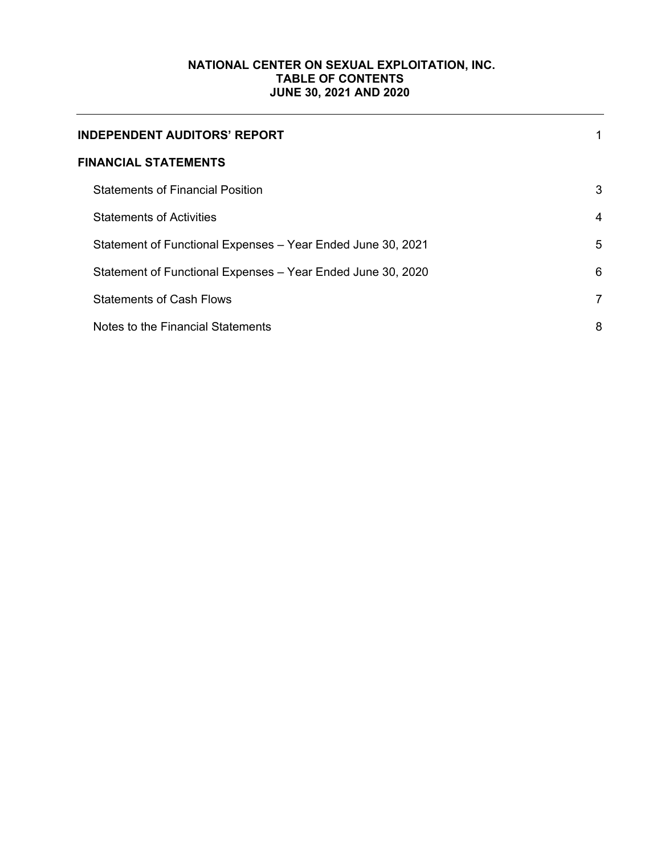# **NATIONAL CENTER ON SEXUAL EXPLOITATION, INC. TABLE OF CONTENTS JUNE 30, 2021 AND 2020**

| <b>INDEPENDENT AUDITORS' REPORT</b>                         |                |
|-------------------------------------------------------------|----------------|
| <b>FINANCIAL STATEMENTS</b>                                 |                |
| <b>Statements of Financial Position</b>                     | 3              |
| <b>Statements of Activities</b>                             | 4              |
| Statement of Functional Expenses - Year Ended June 30, 2021 | 5              |
| Statement of Functional Expenses - Year Ended June 30, 2020 | 6              |
| <b>Statements of Cash Flows</b>                             | $\overline{7}$ |
| Notes to the Financial Statements                           | 8              |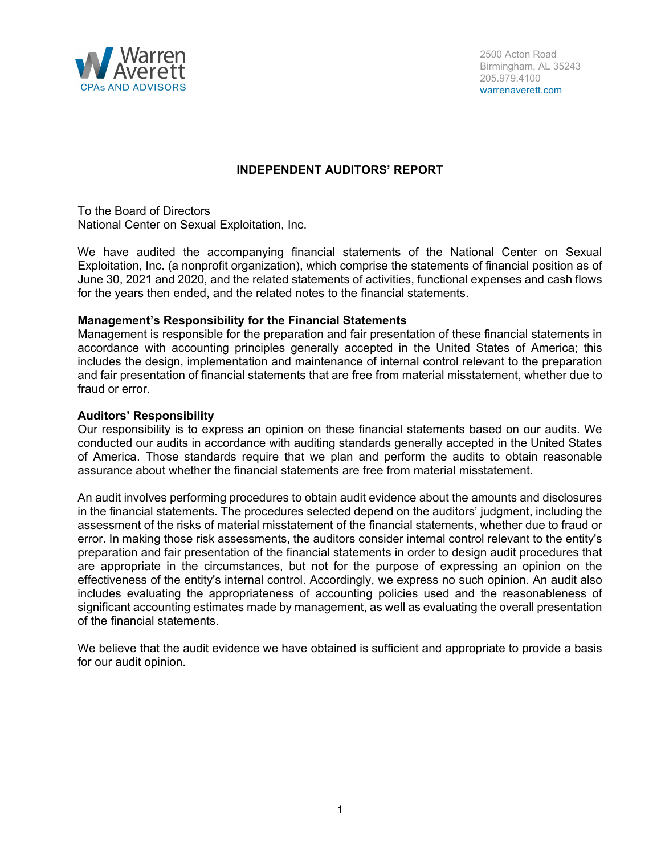

## **INDEPENDENT AUDITORS' REPORT**

To the Board of Directors National Center on Sexual Exploitation, Inc.

We have audited the accompanying financial statements of the National Center on Sexual Exploitation, Inc. (a nonprofit organization), which comprise the statements of financial position as of June 30, 2021 and 2020, and the related statements of activities, functional expenses and cash flows for the years then ended, and the related notes to the financial statements.

#### **Management's Responsibility for the Financial Statements**

Management is responsible for the preparation and fair presentation of these financial statements in accordance with accounting principles generally accepted in the United States of America; this includes the design, implementation and maintenance of internal control relevant to the preparation and fair presentation of financial statements that are free from material misstatement, whether due to fraud or error.

#### **Auditors' Responsibility**

Our responsibility is to express an opinion on these financial statements based on our audits. We conducted our audits in accordance with auditing standards generally accepted in the United States of America. Those standards require that we plan and perform the audits to obtain reasonable assurance about whether the financial statements are free from material misstatement.

An audit involves performing procedures to obtain audit evidence about the amounts and disclosures in the financial statements. The procedures selected depend on the auditors' judgment, including the assessment of the risks of material misstatement of the financial statements, whether due to fraud or error. In making those risk assessments, the auditors consider internal control relevant to the entity's preparation and fair presentation of the financial statements in order to design audit procedures that are appropriate in the circumstances, but not for the purpose of expressing an opinion on the effectiveness of the entity's internal control. Accordingly, we express no such opinion. An audit also includes evaluating the appropriateness of accounting policies used and the reasonableness of significant accounting estimates made by management, as well as evaluating the overall presentation of the financial statements.

We believe that the audit evidence we have obtained is sufficient and appropriate to provide a basis for our audit opinion.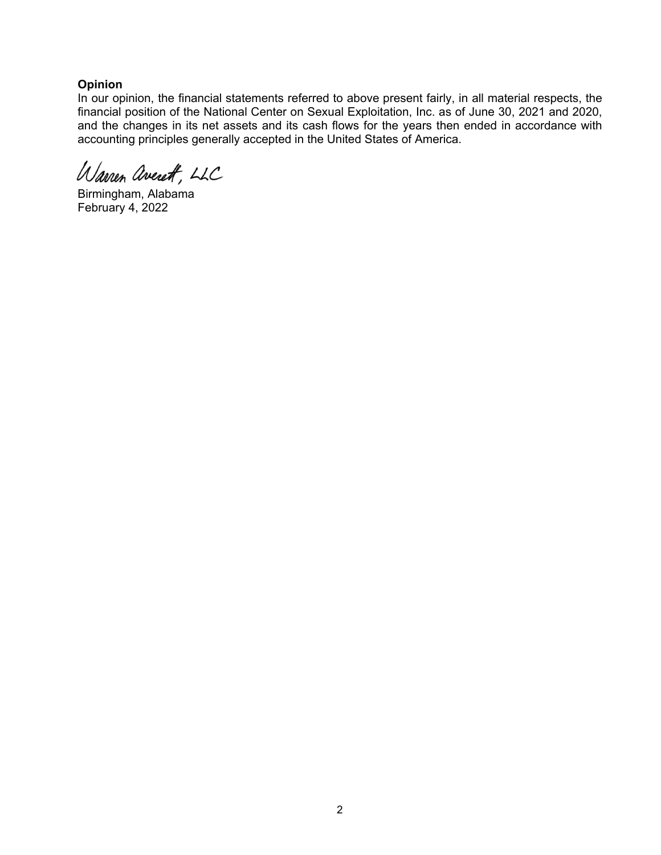## **Opinion**

In our opinion, the financial statements referred to above present fairly, in all material respects, the financial position of the National Center on Sexual Exploitation, Inc. as of June 30, 2021 and 2020, and the changes in its net assets and its cash flows for the years then ended in accordance with accounting principles generally accepted in the United States of America.

Warren averett, LLC

Birmingham, Alabama February 4, 2022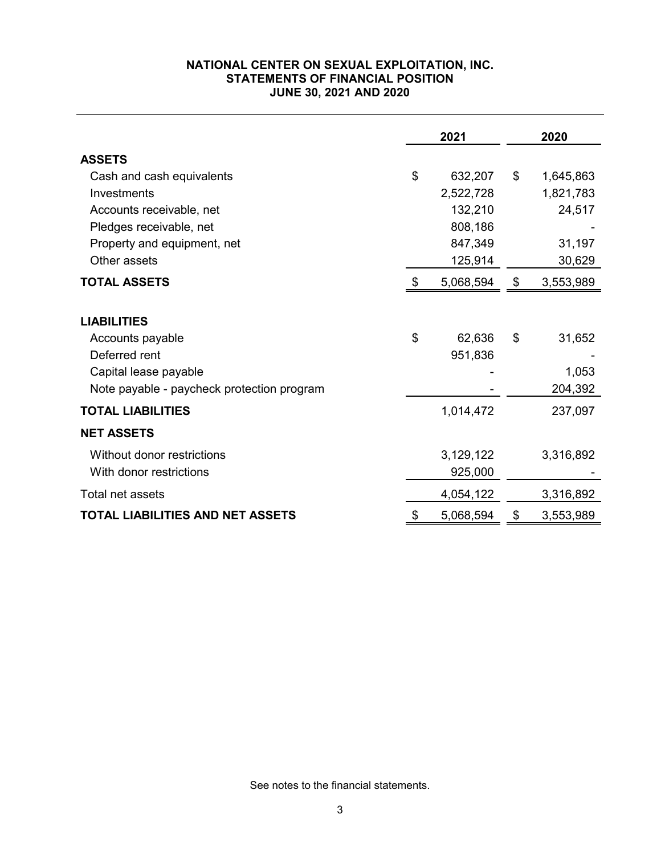## **NATIONAL CENTER ON SEXUAL EXPLOITATION, INC. STATEMENTS OF FINANCIAL POSITION JUNE 30, 2021 AND 2020**

|                                            | 2021            |                | 2020      |
|--------------------------------------------|-----------------|----------------|-----------|
| <b>ASSETS</b>                              |                 |                |           |
| Cash and cash equivalents                  | \$<br>632,207   | $\mathfrak{S}$ | 1,645,863 |
| Investments                                | 2,522,728       |                | 1,821,783 |
| Accounts receivable, net                   | 132,210         |                | 24,517    |
| Pledges receivable, net                    | 808,186         |                |           |
| Property and equipment, net                | 847,349         |                | 31,197    |
| Other assets                               | 125,914         |                | 30,629    |
| <b>TOTAL ASSETS</b>                        | \$<br>5,068,594 | \$             | 3,553,989 |
| <b>LIABILITIES</b>                         |                 |                |           |
| Accounts payable                           | \$<br>62,636    | \$             | 31,652    |
| Deferred rent                              | 951,836         |                |           |
| Capital lease payable                      |                 |                | 1,053     |
| Note payable - paycheck protection program |                 |                | 204,392   |
| <b>TOTAL LIABILITIES</b>                   | 1,014,472       |                | 237,097   |
| <b>NET ASSETS</b>                          |                 |                |           |
| Without donor restrictions                 | 3,129,122       |                | 3,316,892 |
| With donor restrictions                    | 925,000         |                |           |
| Total net assets                           | 4,054,122       |                | 3,316,892 |
| TOTAL LIABILITIES AND NET ASSETS           | \$<br>5,068,594 | \$             | 3,553,989 |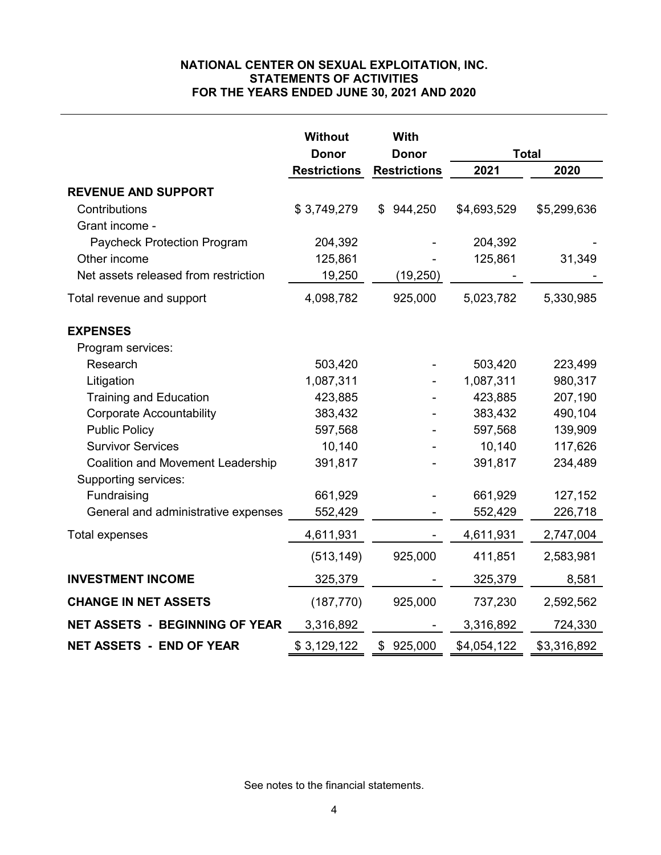## **NATIONAL CENTER ON SEXUAL EXPLOITATION, INC. STATEMENTS OF ACTIVITIES FOR THE YEARS ENDED JUNE 30, 2021 AND 2020**

|                                          | <b>Without</b>      | With                |             |              |
|------------------------------------------|---------------------|---------------------|-------------|--------------|
|                                          | <b>Donor</b>        | <b>Donor</b>        |             | <b>Total</b> |
|                                          | <b>Restrictions</b> | <b>Restrictions</b> | 2021        | 2020         |
| <b>REVENUE AND SUPPORT</b>               |                     |                     |             |              |
| Contributions                            | \$3,749,279         | 944,250<br>\$       | \$4,693,529 | \$5,299,636  |
| Grant income -                           |                     |                     |             |              |
| Paycheck Protection Program              | 204,392             |                     | 204,392     |              |
| Other income                             | 125,861             |                     | 125,861     | 31,349       |
| Net assets released from restriction     | 19,250              | (19,250)            |             |              |
| Total revenue and support                | 4,098,782           | 925,000             | 5,023,782   | 5,330,985    |
| <b>EXPENSES</b>                          |                     |                     |             |              |
| Program services:                        |                     |                     |             |              |
| Research                                 | 503,420             |                     | 503,420     | 223,499      |
| Litigation                               | 1,087,311           |                     | 1,087,311   | 980,317      |
| <b>Training and Education</b>            | 423,885             |                     | 423,885     | 207,190      |
| <b>Corporate Accountability</b>          | 383,432             |                     | 383,432     | 490,104      |
| <b>Public Policy</b>                     | 597,568             |                     | 597,568     | 139,909      |
| <b>Survivor Services</b>                 | 10,140              |                     | 10,140      | 117,626      |
| <b>Coalition and Movement Leadership</b> | 391,817             |                     | 391,817     | 234,489      |
| Supporting services:                     |                     |                     |             |              |
| Fundraising                              | 661,929             |                     | 661,929     | 127,152      |
| General and administrative expenses      | 552,429             |                     | 552,429     | 226,718      |
| <b>Total expenses</b>                    | 4,611,931           |                     | 4,611,931   | 2,747,004    |
|                                          | (513, 149)          | 925,000             | 411,851     | 2,583,981    |
| <b>INVESTMENT INCOME</b>                 | 325,379             |                     | 325,379     | 8,581        |
| <b>CHANGE IN NET ASSETS</b>              | (187, 770)          | 925,000             | 737,230     | 2,592,562    |
| <b>NET ASSETS - BEGINNING OF YEAR</b>    | 3,316,892           |                     | 3,316,892   | 724,330      |
| <b>NET ASSETS - END OF YEAR</b>          | \$3,129,122         | 925,000<br>\$       | \$4,054,122 | \$3,316,892  |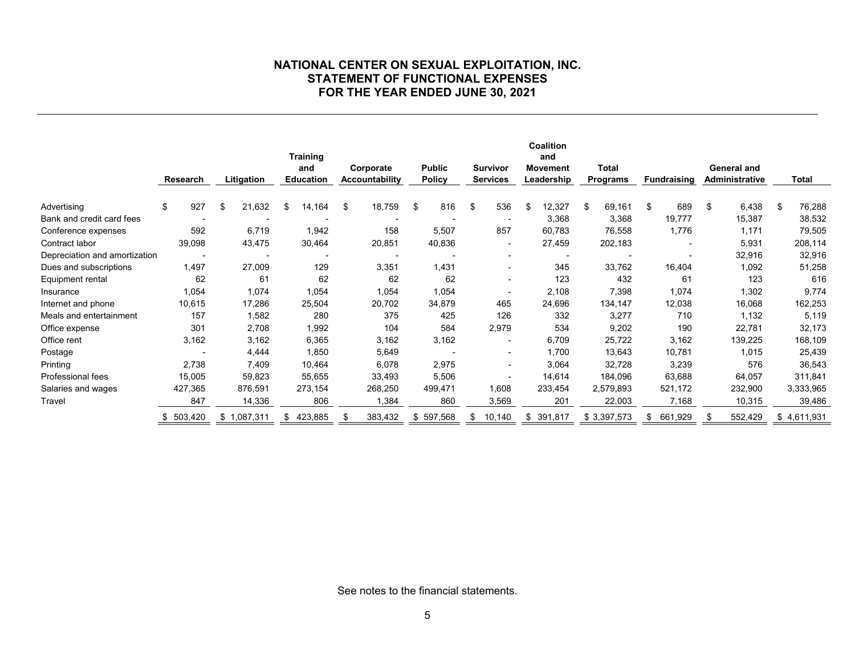#### **NATIONAL CENTER ON SEXUAL EXPLOITATION, INC. STATEMENT OF FUNCTIONAL EXPENSES FOR THE YEAR ENDED JUNE 30, 2021**

|                               | Research |         | Litigation   | <b>Training</b><br>and<br><b>Education</b> | Corporate<br><b>Accountability</b> | <b>Public</b><br>Policy |    | <b>Survivor</b><br><b>Services</b> | Coalition<br>and<br><b>Movement</b><br>Leadership | <b>Total</b><br><b>Programs</b> | <b>Fundraising</b> |         | General and<br>Administrative | Total        |
|-------------------------------|----------|---------|--------------|--------------------------------------------|------------------------------------|-------------------------|----|------------------------------------|---------------------------------------------------|---------------------------------|--------------------|---------|-------------------------------|--------------|
| Advertising                   | \$       | 927     | \$<br>21,632 | \$<br>14,164                               | \$<br>18,759                       | \$<br>816               | \$ | 536                                | \$<br>12,327                                      | \$<br>69,161                    | \$                 | 689     | \$<br>6,438                   | \$<br>76,288 |
| Bank and credit card fees     |          |         |              |                                            |                                    |                         |    |                                    | 3,368                                             | 3,368                           |                    | 19,777  | 15,387                        | 38,532       |
| Conference expenses           |          | 592     | 6,719        | 1,942                                      | 158                                | 5,507                   |    | 857                                | 60,783                                            | 76,558                          |                    | 1,776   | 1,171                         | 79,505       |
| Contract labor                |          | 39,098  | 43,475       | 30,464                                     | 20,851                             | 40,836                  |    | $\overline{\phantom{0}}$           | 27,459                                            | 202,183                         |                    |         | 5,931                         | 208,114      |
| Depreciation and amortization |          |         |              |                                            |                                    |                         |    |                                    |                                                   |                                 |                    |         | 32,916                        | 32,916       |
| Dues and subscriptions        |          | 1,497   | 27,009       | 129                                        | 3,351                              | 1,431                   |    | $\blacksquare$                     | 345                                               | 33,762                          |                    | 16,404  | 1,092                         | 51,258       |
| Equipment rental              |          | 62      | 61           | 62                                         | 62                                 | 62                      |    | $\overline{\phantom{a}}$           | 123                                               | 432                             |                    | 61      | 123                           | 616          |
| Insurance                     |          | 1,054   | 1,074        | 1,054                                      | 1,054                              | 1,054                   |    | $\overline{\phantom{a}}$           | 2,108                                             | 7,398                           |                    | 1,074   | 1,302                         | 9,774        |
| Internet and phone            |          | 10,615  | 17,286       | 25,504                                     | 20,702                             | 34,879                  |    | 465                                | 24,696                                            | 134,147                         |                    | 12,038  | 16,068                        | 162,253      |
| Meals and entertainment       |          | 157     | 1,582        | 280                                        | 375                                | 425                     |    | 126                                | 332                                               | 3,277                           |                    | 710     | 1,132                         | 5,119        |
| Office expense                |          | 301     | 2,708        | 1,992                                      | 104                                | 584                     |    | 2,979                              | 534                                               | 9,202                           |                    | 190     | 22,781                        | 32,173       |
| Office rent                   |          | 3,162   | 3,162        | 6,365                                      | 3,162                              | 3,162                   |    |                                    | 6,709                                             | 25,722                          |                    | 3,162   | 139,225                       | 168,109      |
| Postage                       |          |         | 4,444        | 1,850                                      | 5,649                              |                         |    | $\blacksquare$                     | 1,700                                             | 13,643                          |                    | 10,781  | 1,015                         | 25,439       |
| Printing                      |          | 2,738   | 7,409        | 10,464                                     | 6,078                              | 2,975                   |    | $\overline{a}$                     | 3,064                                             | 32,728                          |                    | 3,239   | 576                           | 36,543       |
| <b>Professional fees</b>      |          | 15,005  | 59,823       | 55,655                                     | 33,493                             | 5,506                   |    | $\blacksquare$                     | 14,614                                            | 184,096                         |                    | 63,688  | 64,057                        | 311,841      |
| Salaries and wages            |          | 427,365 | 876,591      | 273,154                                    | 268,250                            | 499,471                 |    | 1,608                              | 233,454                                           | 2,579,893                       |                    | 521,172 | 232,900                       | 3,333,965    |
| Travel                        |          | 847     | 14,336       | 806                                        | 1,384                              | 860                     |    | 3,569                              | 201                                               | 22,003                          |                    | 7,168   | 10,315                        | 39,486       |
|                               |          | 503,420 | \$1,087,311  | \$<br>423,885                              | 383,432                            | \$<br>597,568           | S  | 10,140                             | \$<br>391,817                                     | \$3,397,573                     | \$                 | 661,929 | 552,429                       | \$4,611,931  |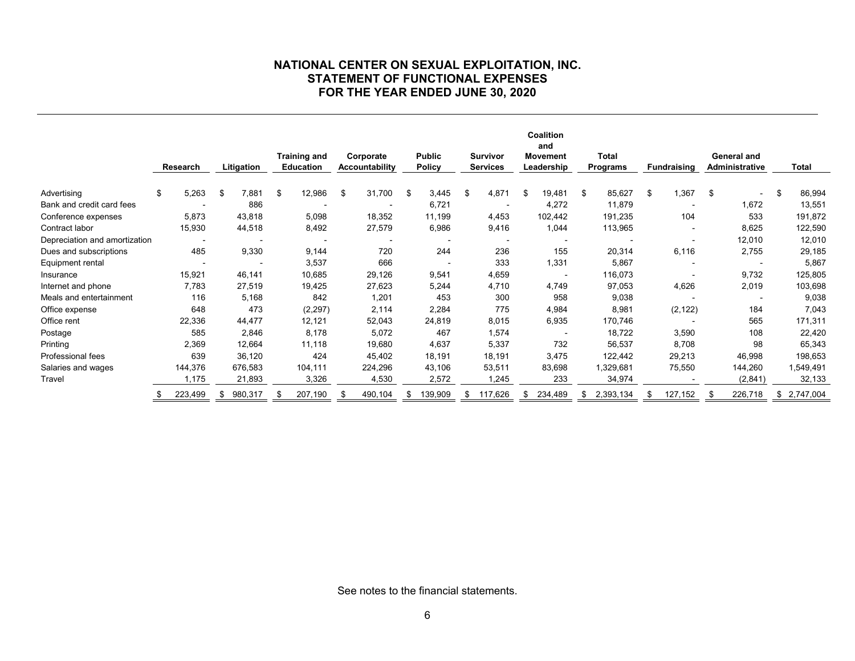#### **NATIONAL CENTER ON SEXUAL EXPLOITATION, INC. STATEMENT OF FUNCTIONAL EXPENSES FOR THE YEAR ENDED JUNE 30, 2020**

|                               | Litigation<br>Research |         |               |    | <b>Training and</b><br>Corporate<br><b>Education</b><br><b>Accountability</b> |    |         | <b>Public</b><br><b>Survivor</b><br><b>Policy</b><br><b>Services</b> |         | Coalition<br>and<br><b>Movement</b><br>Leadership |         | <b>Total</b><br><b>Programs</b> |         | <b>Fundraising</b> |    | General and<br><b>Administrative</b> |    | <b>Total</b>   |    |             |
|-------------------------------|------------------------|---------|---------------|----|-------------------------------------------------------------------------------|----|---------|----------------------------------------------------------------------|---------|---------------------------------------------------|---------|---------------------------------|---------|--------------------|----|--------------------------------------|----|----------------|----|-------------|
| Advertising                   | \$                     | 5,263   | \$<br>7,881   | \$ | 12,986                                                                        | \$ | 31,700  | \$                                                                   | 3,445   | \$                                                | 4,871   | -\$                             | 19,481  | \$<br>85,627       | \$ | 1,367                                | \$ | $\blacksquare$ | \$ | 86,994      |
| Bank and credit card fees     |                        |         | 886           |    |                                                                               |    |         |                                                                      | 6,721   |                                                   |         |                                 | 4,272   | 11,879             |    |                                      |    | 1,672          |    | 13,551      |
| Conference expenses           |                        | 5,873   | 43,818        |    | 5,098                                                                         |    | 18,352  |                                                                      | 11,199  |                                                   | 4,453   |                                 | 102,442 | 191,235            |    | 104                                  |    | 533            |    | 191,872     |
| Contract labor                |                        | 15,930  | 44,518        |    | 8,492                                                                         |    | 27,579  |                                                                      | 6,986   |                                                   | 9,416   |                                 | 1,044   | 113,965            |    |                                      |    | 8,625          |    | 122,590     |
| Depreciation and amortization |                        |         |               |    |                                                                               |    |         |                                                                      |         |                                                   |         |                                 |         |                    |    |                                      |    | 12,010         |    | 12,010      |
| Dues and subscriptions        |                        | 485     | 9,330         |    | 9,144                                                                         |    | 720     |                                                                      | 244     |                                                   | 236     |                                 | 155     | 20,314             |    | 6,116                                |    | 2,755          |    | 29,185      |
| Equipment rental              |                        |         |               |    | 3,537                                                                         |    | 666     |                                                                      |         |                                                   | 333     |                                 | 1,331   | 5,867              |    |                                      |    |                |    | 5,867       |
| Insurance                     |                        | 15,921  | 46,141        |    | 10,685                                                                        |    | 29,126  |                                                                      | 9,541   |                                                   | 4,659   |                                 |         | 116,073            |    |                                      |    | 9,732          |    | 125,805     |
| Internet and phone            |                        | 7,783   | 27,519        |    | 19,425                                                                        |    | 27,623  |                                                                      | 5,244   |                                                   | 4,710   |                                 | 4,749   | 97,053             |    | 4,626                                |    | 2,019          |    | 103,698     |
| Meals and entertainment       |                        | 116     | 5,168         |    | 842                                                                           |    | 1,201   |                                                                      | 453     |                                                   | 300     |                                 | 958     | 9,038              |    |                                      |    |                |    | 9,038       |
| Office expense                |                        | 648     | 473           |    | (2, 297)                                                                      |    | 2,114   |                                                                      | 2,284   |                                                   | 775     |                                 | 4,984   | 8,981              |    | (2, 122)                             |    | 184            |    | 7,043       |
| Office rent                   |                        | 22,336  | 44,477        |    | 12,121                                                                        |    | 52,043  |                                                                      | 24,819  |                                                   | 8,015   |                                 | 6,935   | 170,746            |    |                                      |    | 565            |    | 171,311     |
| Postage                       |                        | 585     | 2,846         |    | 8,178                                                                         |    | 5,072   |                                                                      | 467     |                                                   | 1,574   |                                 |         | 18,722             |    | 3,590                                |    | 108            |    | 22,420      |
| Printing                      |                        | 2,369   | 12,664        |    | 11,118                                                                        |    | 19,680  |                                                                      | 4,637   |                                                   | 5,337   |                                 | 732     | 56,537             |    | 8,708                                |    | 98             |    | 65,343      |
| Professional fees             |                        | 639     | 36,120        |    | 424                                                                           |    | 45,402  |                                                                      | 18,191  |                                                   | 18,191  |                                 | 3,475   | 122,442            |    | 29,213                               |    | 46,998         |    | 198,653     |
| Salaries and wages            |                        | 144,376 | 676,583       |    | 104,111                                                                       |    | 224,296 |                                                                      | 43,106  |                                                   | 53,511  |                                 | 83,698  | 1,329,681          |    | 75,550                               |    | 144,260        |    | 1,549,491   |
| Travel                        |                        | 1,175   | 21,893        |    | 3,326                                                                         |    | 4,530   |                                                                      | 2,572   |                                                   | 1,245   |                                 | 233     | 34,974             |    |                                      |    | (2,841)        |    | 32,133      |
|                               |                        | 223,499 | \$<br>980,317 |    | 207,190                                                                       |    | 490,104 | £.                                                                   | 139,909 |                                                   | 117,626 | \$                              | 234,489 | \$<br>2,393,134    |    | 127,152                              |    | 226,718        |    | \$2,747,004 |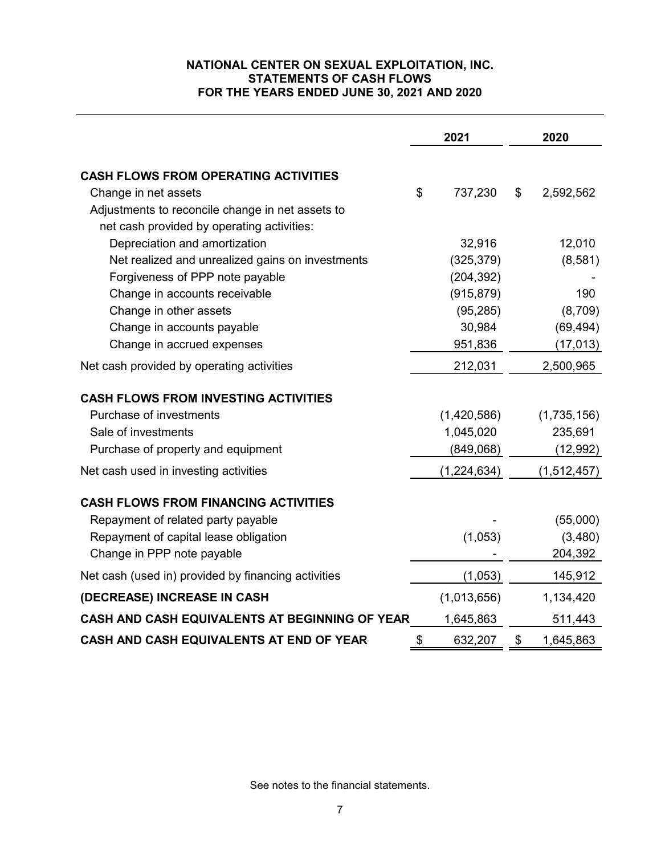## **NATIONAL CENTER ON SEXUAL EXPLOITATION, INC. STATEMENTS OF CASH FLOWS FOR THE YEARS ENDED JUNE 30, 2021 AND 2020**

|                                                     | 2021          | 2020            |
|-----------------------------------------------------|---------------|-----------------|
| <b>CASH FLOWS FROM OPERATING ACTIVITIES</b>         |               |                 |
| Change in net assets                                | \$<br>737,230 | \$<br>2,592,562 |
| Adjustments to reconcile change in net assets to    |               |                 |
| net cash provided by operating activities:          |               |                 |
| Depreciation and amortization                       | 32,916        | 12,010          |
| Net realized and unrealized gains on investments    | (325, 379)    | (8,581)         |
| Forgiveness of PPP note payable                     | (204, 392)    |                 |
| Change in accounts receivable                       | (915, 879)    | 190             |
| Change in other assets                              | (95, 285)     | (8,709)         |
| Change in accounts payable                          | 30,984        | (69, 494)       |
| Change in accrued expenses                          | 951,836       | (17, 013)       |
| Net cash provided by operating activities           | 212,031       | 2,500,965       |
| <b>CASH FLOWS FROM INVESTING ACTIVITIES</b>         |               |                 |
| Purchase of investments                             | (1,420,586)   | (1,735,156)     |
| Sale of investments                                 | 1,045,020     | 235,691         |
| Purchase of property and equipment                  | (849,068)     | (12, 992)       |
| Net cash used in investing activities               | (1,224,634)   | (1,512,457)     |
| <b>CASH FLOWS FROM FINANCING ACTIVITIES</b>         |               |                 |
| Repayment of related party payable                  |               | (55,000)        |
| Repayment of capital lease obligation               | (1,053)       | (3,480)         |
| Change in PPP note payable                          |               | 204,392         |
| Net cash (used in) provided by financing activities | (1,053)       | 145,912         |
| (DECREASE) INCREASE IN CASH                         | (1,013,656)   | 1,134,420       |
| CASH AND CASH EQUIVALENTS AT BEGINNING OF YEAR      | 1,645,863     | 511,443         |
| CASH AND CASH EQUIVALENTS AT END OF YEAR            | \$<br>632,207 | \$<br>1,645,863 |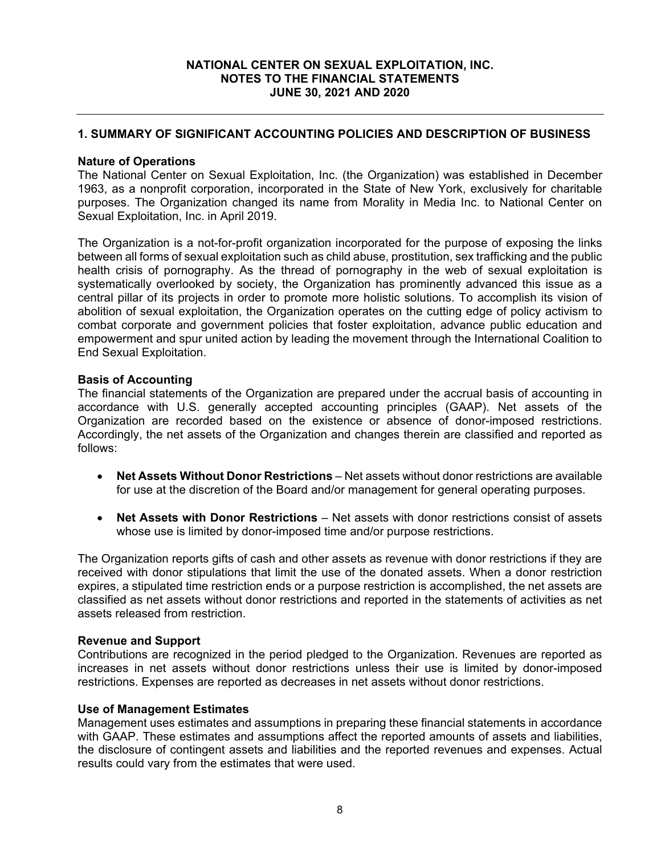## **1. SUMMARY OF SIGNIFICANT ACCOUNTING POLICIES AND DESCRIPTION OF BUSINESS**

### **Nature of Operations**

The National Center on Sexual Exploitation, Inc. (the Organization) was established in December 1963, as a nonprofit corporation, incorporated in the State of New York, exclusively for charitable purposes. The Organization changed its name from Morality in Media Inc. to National Center on Sexual Exploitation, Inc. in April 2019.

The Organization is a not-for-profit organization incorporated for the purpose of exposing the links between all forms of sexual exploitation such as child abuse, prostitution, sex trafficking and the public health crisis of pornography. As the thread of pornography in the web of sexual exploitation is systematically overlooked by society, the Organization has prominently advanced this issue as a central pillar of its projects in order to promote more holistic solutions. To accomplish its vision of abolition of sexual exploitation, the Organization operates on the cutting edge of policy activism to combat corporate and government policies that foster exploitation, advance public education and empowerment and spur united action by leading the movement through the International Coalition to End Sexual Exploitation.

## **Basis of Accounting**

The financial statements of the Organization are prepared under the accrual basis of accounting in accordance with U.S. generally accepted accounting principles (GAAP). Net assets of the Organization are recorded based on the existence or absence of donor-imposed restrictions. Accordingly, the net assets of the Organization and changes therein are classified and reported as follows:

- **Net Assets Without Donor Restrictions**  Net assets without donor restrictions are available for use at the discretion of the Board and/or management for general operating purposes.
- **Net Assets with Donor Restrictions**  Net assets with donor restrictions consist of assets whose use is limited by donor-imposed time and/or purpose restrictions.

The Organization reports gifts of cash and other assets as revenue with donor restrictions if they are received with donor stipulations that limit the use of the donated assets. When a donor restriction expires, a stipulated time restriction ends or a purpose restriction is accomplished, the net assets are classified as net assets without donor restrictions and reported in the statements of activities as net assets released from restriction.

#### **Revenue and Support**

Contributions are recognized in the period pledged to the Organization. Revenues are reported as increases in net assets without donor restrictions unless their use is limited by donor-imposed restrictions. Expenses are reported as decreases in net assets without donor restrictions.

#### **Use of Management Estimates**

Management uses estimates and assumptions in preparing these financial statements in accordance with GAAP. These estimates and assumptions affect the reported amounts of assets and liabilities, the disclosure of contingent assets and liabilities and the reported revenues and expenses. Actual results could vary from the estimates that were used.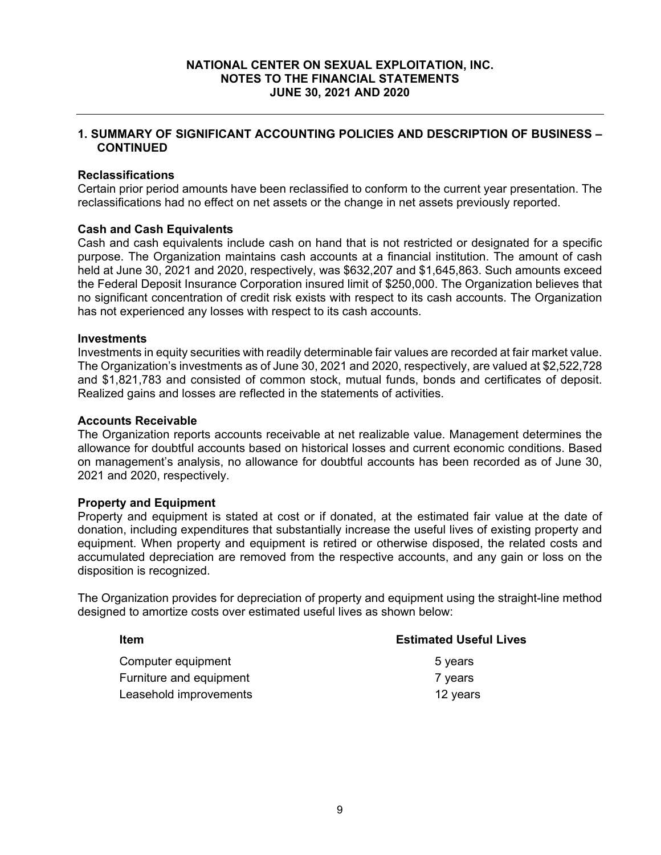## **1. SUMMARY OF SIGNIFICANT ACCOUNTING POLICIES AND DESCRIPTION OF BUSINESS – CONTINUED**

### **Reclassifications**

Certain prior period amounts have been reclassified to conform to the current year presentation. The reclassifications had no effect on net assets or the change in net assets previously reported.

#### **Cash and Cash Equivalents**

Cash and cash equivalents include cash on hand that is not restricted or designated for a specific purpose. The Organization maintains cash accounts at a financial institution. The amount of cash held at June 30, 2021 and 2020, respectively, was \$632,207 and \$1,645,863. Such amounts exceed the Federal Deposit Insurance Corporation insured limit of \$250,000. The Organization believes that no significant concentration of credit risk exists with respect to its cash accounts. The Organization has not experienced any losses with respect to its cash accounts.

## **Investments**

Investments in equity securities with readily determinable fair values are recorded at fair market value. The Organization's investments as of June 30, 2021 and 2020, respectively, are valued at \$2,522,728 and \$1,821,783 and consisted of common stock, mutual funds, bonds and certificates of deposit. Realized gains and losses are reflected in the statements of activities.

#### **Accounts Receivable**

The Organization reports accounts receivable at net realizable value. Management determines the allowance for doubtful accounts based on historical losses and current economic conditions. Based on management's analysis, no allowance for doubtful accounts has been recorded as of June 30, 2021 and 2020, respectively.

#### **Property and Equipment**

Property and equipment is stated at cost or if donated, at the estimated fair value at the date of donation, including expenditures that substantially increase the useful lives of existing property and equipment. When property and equipment is retired or otherwise disposed, the related costs and accumulated depreciation are removed from the respective accounts, and any gain or loss on the disposition is recognized.

The Organization provides for depreciation of property and equipment using the straight-line method designed to amortize costs over estimated useful lives as shown below:

| Item                    | <b>Estimated Useful Lives</b> |
|-------------------------|-------------------------------|
| Computer equipment      | 5 years                       |
| Furniture and equipment | 7 years                       |
| Leasehold improvements  | 12 years                      |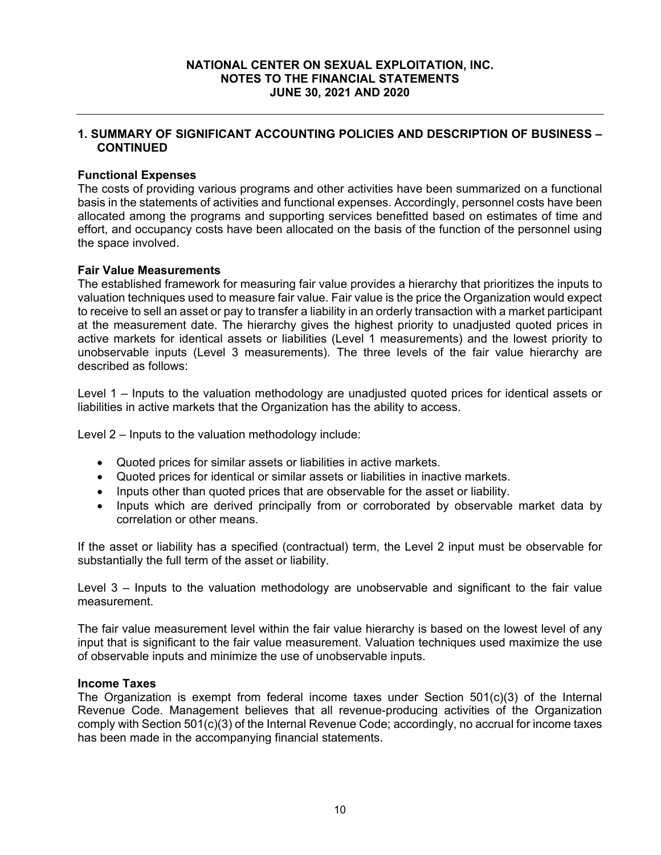## **1. SUMMARY OF SIGNIFICANT ACCOUNTING POLICIES AND DESCRIPTION OF BUSINESS – CONTINUED**

## **Functional Expenses**

The costs of providing various programs and other activities have been summarized on a functional basis in the statements of activities and functional expenses. Accordingly, personnel costs have been allocated among the programs and supporting services benefitted based on estimates of time and effort, and occupancy costs have been allocated on the basis of the function of the personnel using the space involved.

#### **Fair Value Measurements**

The established framework for measuring fair value provides a hierarchy that prioritizes the inputs to valuation techniques used to measure fair value. Fair value is the price the Organization would expect to receive to sell an asset or pay to transfer a liability in an orderly transaction with a market participant at the measurement date. The hierarchy gives the highest priority to unadjusted quoted prices in active markets for identical assets or liabilities (Level 1 measurements) and the lowest priority to unobservable inputs (Level 3 measurements). The three levels of the fair value hierarchy are described as follows:

Level 1 – Inputs to the valuation methodology are unadjusted quoted prices for identical assets or liabilities in active markets that the Organization has the ability to access.

Level 2 – Inputs to the valuation methodology include:

- Quoted prices for similar assets or liabilities in active markets.
- Quoted prices for identical or similar assets or liabilities in inactive markets.
- Inputs other than quoted prices that are observable for the asset or liability.
- Inputs which are derived principally from or corroborated by observable market data by correlation or other means.

If the asset or liability has a specified (contractual) term, the Level 2 input must be observable for substantially the full term of the asset or liability.

Level 3 – Inputs to the valuation methodology are unobservable and significant to the fair value measurement.

The fair value measurement level within the fair value hierarchy is based on the lowest level of any input that is significant to the fair value measurement. Valuation techniques used maximize the use of observable inputs and minimize the use of unobservable inputs.

#### **Income Taxes**

The Organization is exempt from federal income taxes under Section 501(c)(3) of the Internal Revenue Code. Management believes that all revenue-producing activities of the Organization comply with Section 501(c)(3) of the Internal Revenue Code; accordingly, no accrual for income taxes has been made in the accompanying financial statements.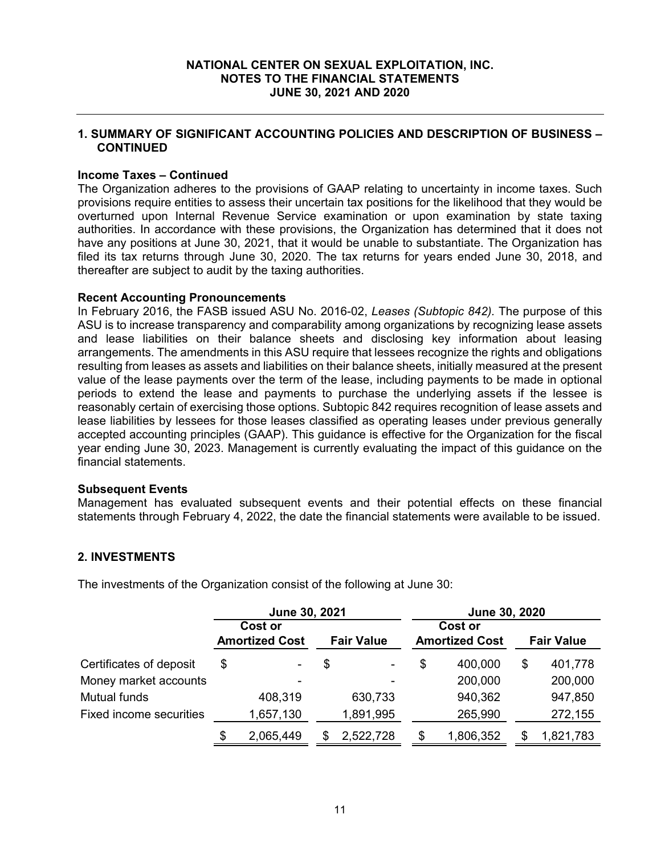## **1. SUMMARY OF SIGNIFICANT ACCOUNTING POLICIES AND DESCRIPTION OF BUSINESS – CONTINUED**

## **Income Taxes – Continued**

The Organization adheres to the provisions of GAAP relating to uncertainty in income taxes. Such provisions require entities to assess their uncertain tax positions for the likelihood that they would be overturned upon Internal Revenue Service examination or upon examination by state taxing authorities. In accordance with these provisions, the Organization has determined that it does not have any positions at June 30, 2021, that it would be unable to substantiate. The Organization has filed its tax returns through June 30, 2020. The tax returns for years ended June 30, 2018, and thereafter are subject to audit by the taxing authorities.

#### **Recent Accounting Pronouncements**

In February 2016, the FASB issued ASU No. 2016-02, *Leases (Subtopic 842).* The purpose of this ASU is to increase transparency and comparability among organizations by recognizing lease assets and lease liabilities on their balance sheets and disclosing key information about leasing arrangements. The amendments in this ASU require that lessees recognize the rights and obligations resulting from leases as assets and liabilities on their balance sheets, initially measured at the present value of the lease payments over the term of the lease, including payments to be made in optional periods to extend the lease and payments to purchase the underlying assets if the lessee is reasonably certain of exercising those options. Subtopic 842 requires recognition of lease assets and lease liabilities by lessees for those leases classified as operating leases under previous generally accepted accounting principles (GAAP). This guidance is effective for the Organization for the fiscal year ending June 30, 2023. Management is currently evaluating the impact of this guidance on the financial statements.

#### **Subsequent Events**

Management has evaluated subsequent events and their potential effects on these financial statements through February 4, 2022, the date the financial statements were available to be issued.

## **2. INVESTMENTS**

The investments of the Organization consist of the following at June 30:

|                                | June 30, 2021 |                       |    |                   |    | June 30, 2020         |    |                   |  |  |  |  |  |
|--------------------------------|---------------|-----------------------|----|-------------------|----|-----------------------|----|-------------------|--|--|--|--|--|
|                                |               | Cost or               |    |                   |    | Cost or               |    |                   |  |  |  |  |  |
|                                |               | <b>Amortized Cost</b> |    | <b>Fair Value</b> |    | <b>Amortized Cost</b> |    | <b>Fair Value</b> |  |  |  |  |  |
| Certificates of deposit        | \$            | ۰                     | \$ | $\sim$            | \$ | 400,000               | \$ | 401,778           |  |  |  |  |  |
| Money market accounts          |               |                       |    |                   |    | 200,000               |    | 200,000           |  |  |  |  |  |
| <b>Mutual funds</b>            |               | 408,319               |    | 630,733           |    | 940,362               |    | 947,850           |  |  |  |  |  |
| <b>Fixed income securities</b> |               | 1,657,130             |    | 1,891,995         |    | 265,990               |    | 272,155           |  |  |  |  |  |
|                                | \$            | 2,065,449             |    | 2,522,728         | S  | 1,806,352             |    | 1,821,783         |  |  |  |  |  |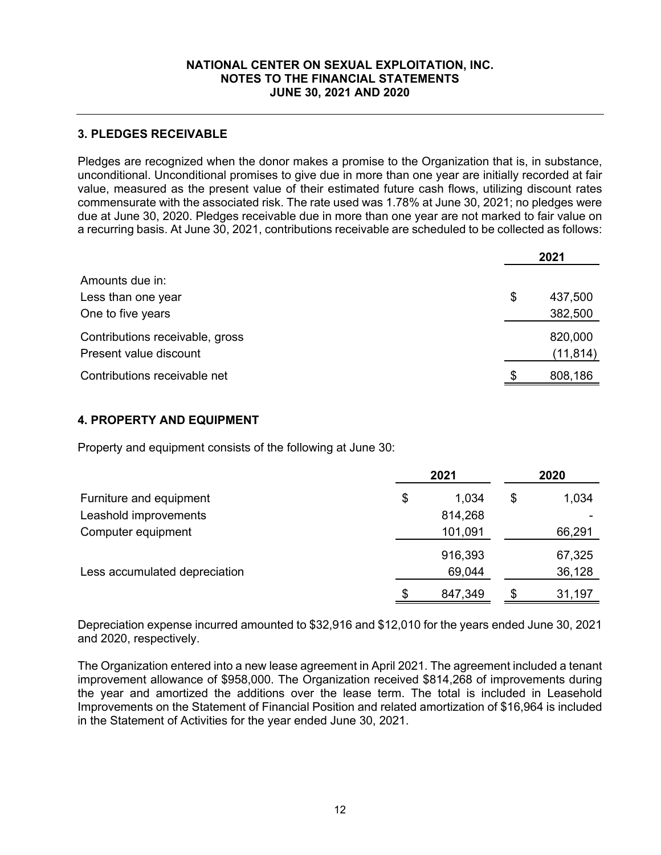# **3. PLEDGES RECEIVABLE**

Pledges are recognized when the donor makes a promise to the Organization that is, in substance, unconditional. Unconditional promises to give due in more than one year are initially recorded at fair value, measured as the present value of their estimated future cash flows, utilizing discount rates commensurate with the associated risk. The rate used was 1.78% at June 30, 2021; no pledges were due at June 30, 2020. Pledges receivable due in more than one year are not marked to fair value on a recurring basis. At June 30, 2021, contributions receivable are scheduled to be collected as follows:

|                                 |     | 2021      |
|---------------------------------|-----|-----------|
| Amounts due in:                 |     |           |
| Less than one year              | \$  | 437,500   |
| One to five years               |     | 382,500   |
| Contributions receivable, gross |     | 820,000   |
| Present value discount          |     | (11, 814) |
| Contributions receivable net    | \$. | 808,186   |

## **4. PROPERTY AND EQUIPMENT**

Property and equipment consists of the following at June 30:

|                               | 2021          |    | 2020   |
|-------------------------------|---------------|----|--------|
| Furniture and equipment       | \$<br>1,034   | \$ | 1,034  |
| Leashold improvements         | 814,268       |    |        |
| Computer equipment            | 101,091       |    | 66,291 |
|                               | 916,393       |    | 67,325 |
| Less accumulated depreciation | 69,044        |    | 36,128 |
|                               | \$<br>847,349 | S  | 31,197 |

Depreciation expense incurred amounted to \$32,916 and \$12,010 for the years ended June 30, 2021 and 2020, respectively.

The Organization entered into a new lease agreement in April 2021. The agreement included a tenant improvement allowance of \$958,000. The Organization received \$814,268 of improvements during the year and amortized the additions over the lease term. The total is included in Leasehold Improvements on the Statement of Financial Position and related amortization of \$16,964 is included in the Statement of Activities for the year ended June 30, 2021.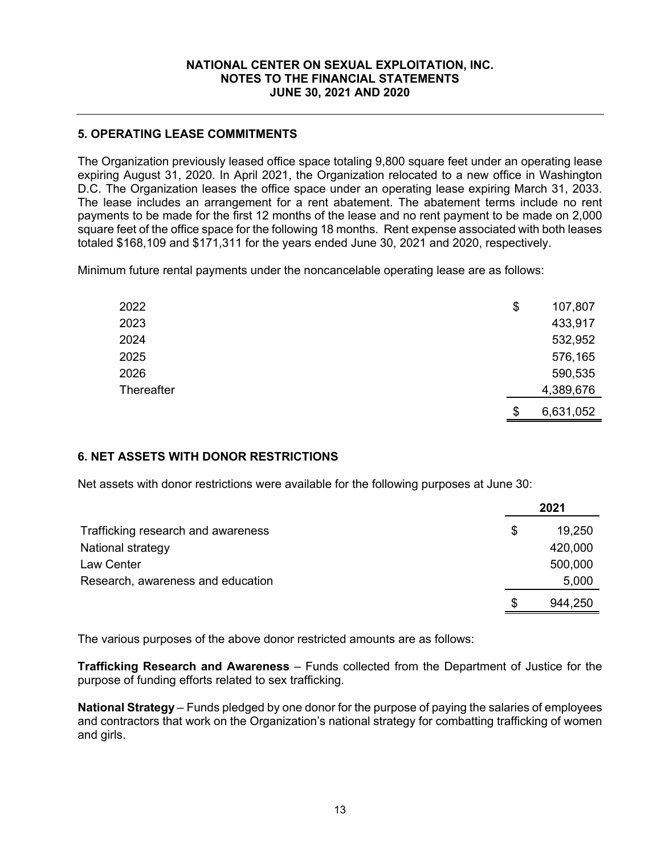# **5. OPERATING LEASE COMMITMENTS**

The Organization previously leased office space totaling 9,800 square feet under an operating lease expiring August 31, 2020. In April 2021, the Organization relocated to a new office in Washington D.C. The Organization leases the office space under an operating lease expiring March 31, 2033. The lease includes an arrangement for a rent abatement. The abatement terms include no rent payments to be made for the first 12 months of the lease and no rent payment to be made on 2,000 square feet of the office space for the following 18 months. Rent expense associated with both leases totaled \$168,109 and \$171,311 for the years ended June 30, 2021 and 2020, respectively.

Minimum future rental payments under the noncancelable operating lease are as follows:

| 2022              | \$<br>107,807   |
|-------------------|-----------------|
| 2023              | 433,917         |
| 2024              | 532,952         |
| 2025              | 576,165         |
| 2026              | 590,535         |
| <b>Thereafter</b> | 4,389,676       |
|                   | \$<br>6,631,052 |

## **6. NET ASSETS WITH DONOR RESTRICTIONS**

Net assets with donor restrictions were available for the following purposes at June 30:

|                                    | 2021          |
|------------------------------------|---------------|
| Trafficking research and awareness | \$<br>19,250  |
| National strategy                  | 420,000       |
| Law Center                         | 500,000       |
| Research, awareness and education  | 5,000         |
|                                    | \$<br>944,250 |

The various purposes of the above donor restricted amounts are as follows:

**Trafficking Research and Awareness** – Funds collected from the Department of Justice for the purpose of funding efforts related to sex trafficking.

**National Strategy** – Funds pledged by one donor for the purpose of paying the salaries of employees and contractors that work on the Organization's national strategy for combatting trafficking of women and girls.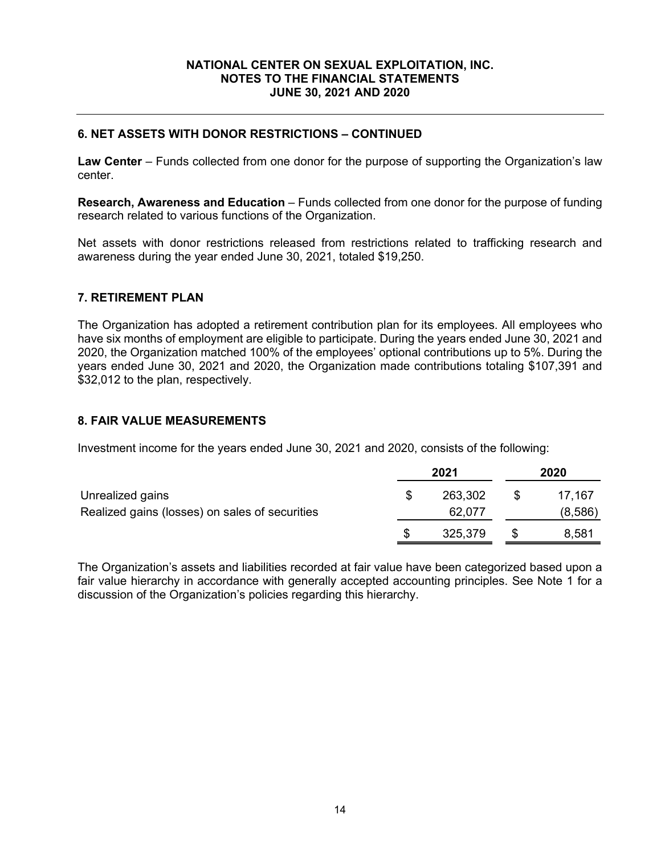# **6. NET ASSETS WITH DONOR RESTRICTIONS – CONTINUED**

**Law Center** – Funds collected from one donor for the purpose of supporting the Organization's law center.

**Research, Awareness and Education** – Funds collected from one donor for the purpose of funding research related to various functions of the Organization.

Net assets with donor restrictions released from restrictions related to trafficking research and awareness during the year ended June 30, 2021, totaled \$19,250.

## **7. RETIREMENT PLAN**

The Organization has adopted a retirement contribution plan for its employees. All employees who have six months of employment are eligible to participate. During the years ended June 30, 2021 and 2020, the Organization matched 100% of the employees' optional contributions up to 5%. During the years ended June 30, 2021 and 2020, the Organization made contributions totaling \$107,391 and \$32,012 to the plan, respectively.

## **8. FAIR VALUE MEASUREMENTS**

Investment income for the years ended June 30, 2021 and 2020, consists of the following:

|                                                | 2021 |         | 2020    |  |
|------------------------------------------------|------|---------|---------|--|
| Unrealized gains                               |      | 263,302 | 17,167  |  |
| Realized gains (losses) on sales of securities |      | 62,077  | (8,586) |  |
|                                                |      | 325,379 | 8,581   |  |

The Organization's assets and liabilities recorded at fair value have been categorized based upon a fair value hierarchy in accordance with generally accepted accounting principles. See Note 1 for a discussion of the Organization's policies regarding this hierarchy.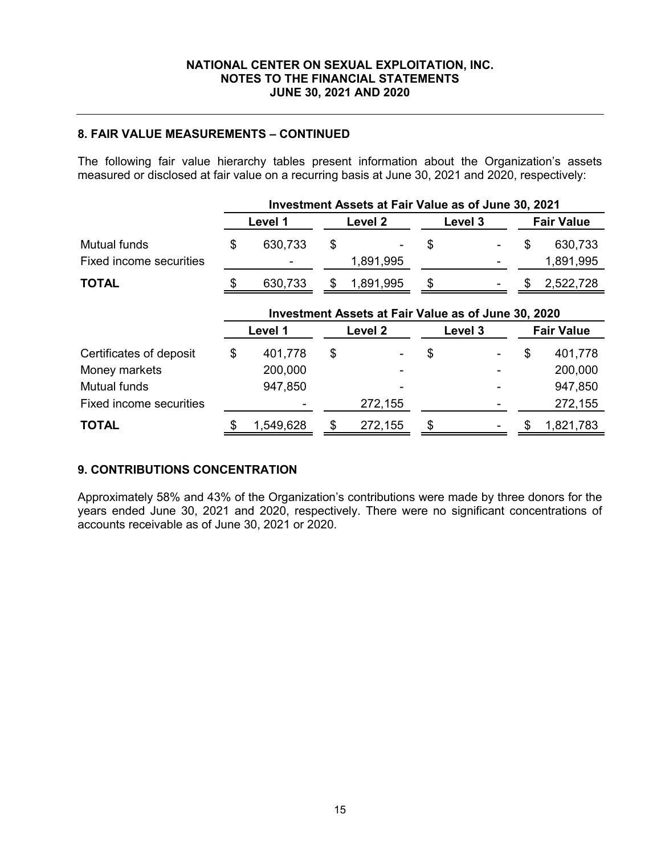# **8. FAIR VALUE MEASUREMENTS – CONTINUED**

The following fair value hierarchy tables present information about the Organization's assets measured or disclosed at fair value on a recurring basis at June 30, 2021 and 2020, respectively:

|                                         | Investment Assets at Fair Value as of June 30, 2021 |         |    |                    |    |         |    |                      |
|-----------------------------------------|-----------------------------------------------------|---------|----|--------------------|----|---------|----|----------------------|
|                                         |                                                     | Level 1 |    | Level 2            |    | Level 3 |    | <b>Fair Value</b>    |
| Mutual funds<br>Fixed income securities | \$                                                  | 630,733 | \$ | 1,891,995          | \$ |         | \$ | 630,733<br>1,891,995 |
| <b>TOTAL</b>                            | S                                                   | 630,733 | \$ | 1,891,995          | \$ |         |    | 2,522,728            |
|                                         | Investment Assets at Fair Value as of June 30, 2020 |         |    |                    |    |         |    |                      |
|                                         |                                                     | Level 1 |    | Level <sub>2</sub> |    | Level 3 |    | <b>Fair Value</b>    |
| Certificates of deposit                 | \$                                                  | 401,778 | \$ |                    | \$ |         | \$ | 401,778              |
| Money markets                           |                                                     | 200,000 |    |                    |    |         |    | 200,000              |
| <b>Mutual funds</b>                     |                                                     | 947,850 |    |                    |    |         |    | 947,850              |
| <b>Fixed income securities</b>          |                                                     |         |    | 272,155            |    |         |    | 272,155              |

# **9. CONTRIBUTIONS CONCENTRATION**

Approximately 58% and 43% of the Organization's contributions were made by three donors for the years ended June 30, 2021 and 2020, respectively. There were no significant concentrations of accounts receivable as of June 30, 2021 or 2020.

**TOTAL**  $\frac{1}{3}$  1,549,628  $\frac{1}{3}$  272,155  $\frac{1}{3}$   $\frac{1}{3}$   $\frac{1}{3}$  1,821,783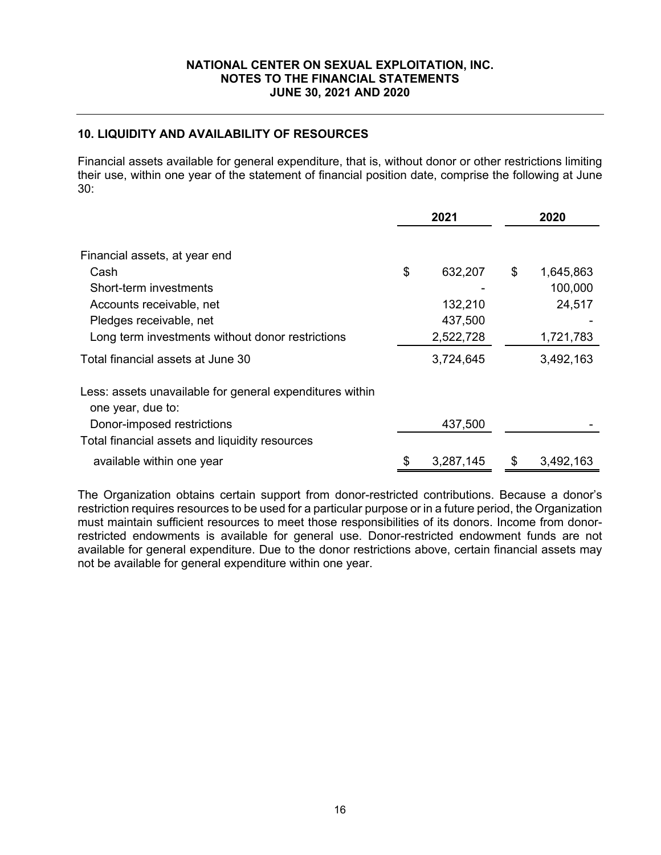## **10. LIQUIDITY AND AVAILABILITY OF RESOURCES**

Financial assets available for general expenditure, that is, without donor or other restrictions limiting their use, within one year of the statement of financial position date, comprise the following at June 30:

|                                                                               | 2021 |           | 2020            |  |
|-------------------------------------------------------------------------------|------|-----------|-----------------|--|
|                                                                               |      |           |                 |  |
| Financial assets, at year end                                                 |      |           |                 |  |
| Cash                                                                          | \$   | 632,207   | \$<br>1,645,863 |  |
| Short-term investments                                                        |      |           | 100,000         |  |
| Accounts receivable, net                                                      |      | 132,210   | 24,517          |  |
| Pledges receivable, net                                                       |      | 437,500   |                 |  |
| Long term investments without donor restrictions                              |      | 2,522,728 | 1,721,783       |  |
| Total financial assets at June 30                                             |      | 3,724,645 | 3,492,163       |  |
| Less: assets unavailable for general expenditures within<br>one year, due to: |      |           |                 |  |
| Donor-imposed restrictions                                                    |      | 437,500   |                 |  |
| Total financial assets and liquidity resources                                |      |           |                 |  |
| available within one year                                                     |      | 3,287,145 | \$<br>3,492,163 |  |

The Organization obtains certain support from donor-restricted contributions. Because a donor's restriction requires resources to be used for a particular purpose or in a future period, the Organization must maintain sufficient resources to meet those responsibilities of its donors. Income from donorrestricted endowments is available for general use. Donor-restricted endowment funds are not available for general expenditure. Due to the donor restrictions above, certain financial assets may not be available for general expenditure within one year.